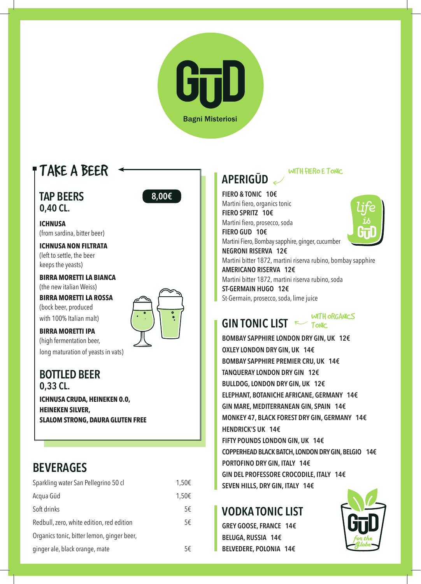

# TAKE A BEER

**TAP BEERS 0,40 CL.** 



**ICHNUSA** (from sardina, bitter beer)

**ICHNUSA NON FILTRATA** (left to settle, the beer keeps the yeasts)

**BIRRA MORETTI LA BIANCA** (the new italian Weiss)

**BIRRA MORETTI LA ROSSA** (bock beer, produced with 100% Italian malt)

**BIRRA MORETTI IPA** (high fermentation beer, long maturation of yeasts in vats)

**BOTTLED BEER 0,33 CL. ICHNUSA CRUDA, HEINEKEN 0.0, HEINEKEN SILVER, SLALOM STRONG, DAURA GLUTEN FREE**

# **BEVERAGES**

| Sparkling water San Pellegrino 50 cl       | 1,50€ |
|--------------------------------------------|-------|
| Acqua Gūd                                  | 1,50€ |
| Soft drinks                                | 5€    |
| Redbull, zero, white edition, red edition  | 5€    |
| Organics tonic, bitter lemon, ginger beer, |       |
| ginger ale, black orange, mate             | 5€    |

# **APERIGŪD**

### WITH FIERO E TONIC

**FIERO & TONIC 10€** Martini fiero, organics tonic **FIERO SPRITZ 10€** Martini fiero, prosecco, soda **FIERO GUD 10€** Martini Fiero, Bombay sapphire, ginger, cucumber **NEGRONI RISERVA 12€** Martini bitter 1872, martini riserva rubino, bombay sapphire **AMERICANO RISERVA 12€** Martini bitter 1872, martini riserva rubino, soda **ST-GERMAIN HUGO 12€** St-Germain, prosecco, soda, lime juice

**GIN TONIC LIST** WITH ORGANICS

**BOMBAY SAPPHIRE LONDON DRY GIN, UK 12€ OXLEY LONDON DRY GIN, UK 14€ BOMBAY SAPPHIRE PREMIER CRU, UK 14€ TANQUERAY LONDON DRY GIN 12€ BULLDOG, LONDON DRY GIN, UK 12€ ELEPHANT, BOTANICHE AFRICANE, GERMANY 14€ GIN MARE, MEDITERRANEAN GIN, SPAIN 14€ MONKEY 47, BLACK FOREST DRY GIN, GERMANY 14€ HENDRICK'S UK 14€ FIFTY POUNDS LONDON GIN, UK 14€ COPPERHEAD BLACK BATCH, LONDON DRY GIN, BELGIO 14€ PORTOFINO DRY GIN, ITALY 14€ GIN DEL PROFESSORE CROCODILE, ITALY 14€ SEVEN HILLS, DRY GIN, ITALY 14€**

## **VODKA TONIC LIST**

**GREY GOOSE, FRANCE 14€ BELUGA, RUSSIA 14€ BELVEDERE, POLONIA 14€**